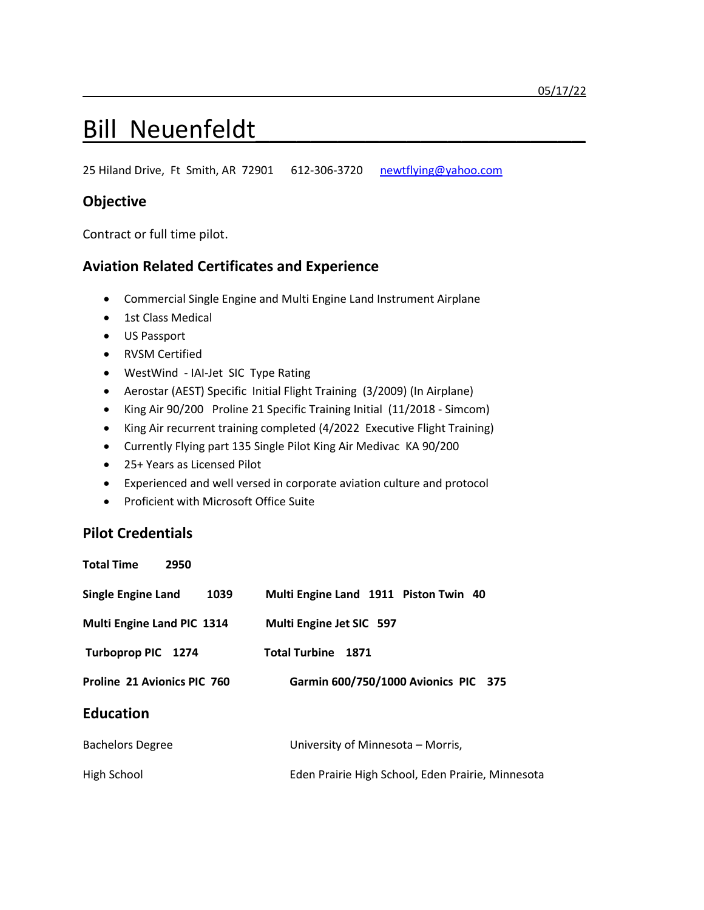# Bill Neuenfeldt\_\_\_\_\_\_\_\_\_\_\_\_\_\_\_\_\_\_\_\_\_\_\_\_

25 Hiland Drive, Ft Smith, AR 72901 612-306-3720 newtflying@yahoo.com

### **Objective**

Contract or full time pilot.

#### **Aviation Related Certificates and Experience**

- Commercial Single Engine and Multi Engine Land Instrument Airplane
- 1st Class Medical
- US Passport
- RVSM Certified
- WestWind IAI-Jet SIC Type Rating
- Aerostar (AEST) Specific Initial Flight Training (3/2009) (In Airplane)
- King Air 90/200 Proline 21 Specific Training Initial (11/2018 Simcom)
- King Air recurrent training completed (4/2022 Executive Flight Training)
- Currently Flying part 135 Single Pilot King Air Medivac KA 90/200
- 25+ Years as Licensed Pilot
- Experienced and well versed in corporate aviation culture and protocol
- Proficient with Microsoft Office Suite

#### **Pilot Credentials**

| <b>Total Time</b><br>2950         |                                                   |
|-----------------------------------|---------------------------------------------------|
| 1039<br><b>Single Engine Land</b> | Multi Engine Land 1911 Piston Twin 40             |
| Multi Engine Land PIC 1314        | Multi Engine Jet SIC 597                          |
| Turboprop PIC 1274                | <b>Total Turbine</b><br>1871                      |
| Proline 21 Avionics PIC 760       | Garmin 600/750/1000 Avionics PIC 375              |
| <b>Education</b>                  |                                                   |
| <b>Bachelors Degree</b>           | University of Minnesota – Morris,                 |
| High School                       | Eden Prairie High School, Eden Prairie, Minnesota |